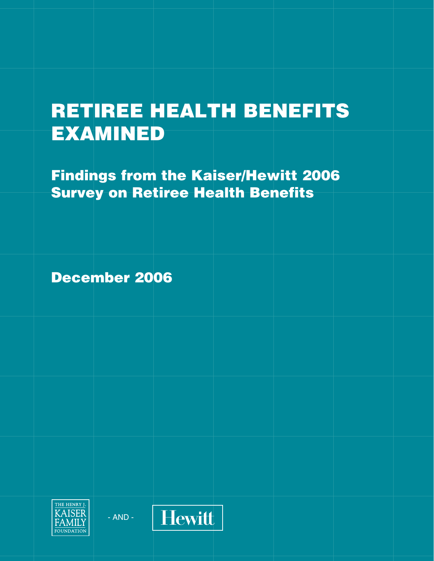# **RETIREE HEALTH BENEFITS EXAMINED**

**Findings from the Kaiser/Hewitt 2006 Survey on Retiree Health Benefits** 

**December 2006** 



 $- AND -$ 

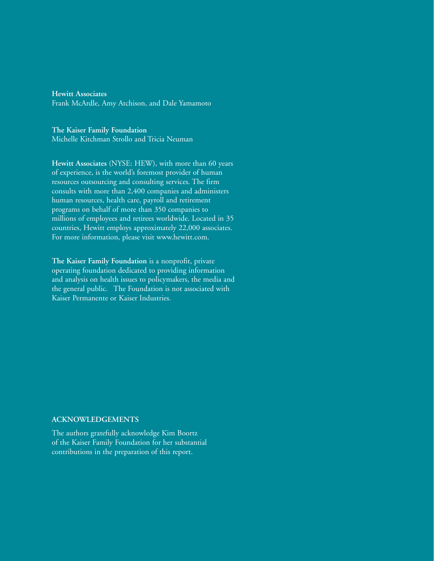**Hewitt Associates** Frank McArdle, Amy Atchison, and Dale Yamamoto

The Kaiser Family Foundation Michelle Kitchman Strollo and Tricia Neuman

Hewitt Associates (NYSE: HEW), with more than 60 years of experience, is the world's foremost provider of human resources outsourcing and consulting services. The firm consults with more than 2,400 companies and administers human resources, health care, payroll and retirement programs on behalf of more than 350 companies to millions of employees and retirees worldwide. Located in 35 countries, Hewitt employs approximately 22,000 associates. For more information, please visit www.hewitt.com.

The Kaiser Family Foundation is a nonprofit, private operating foundation dedicated to providing information and analysis on health issues to policymakers, the media and the general public. The Foundation is not associated with Kaiser Permanente or Kaiser Industries.

#### **ACKNOWLEDGEMENTS**

The authors gratefully acknowledge Kim Boortz of the Kaiser Family Foundation for her substantial contributions in the preparation of this report.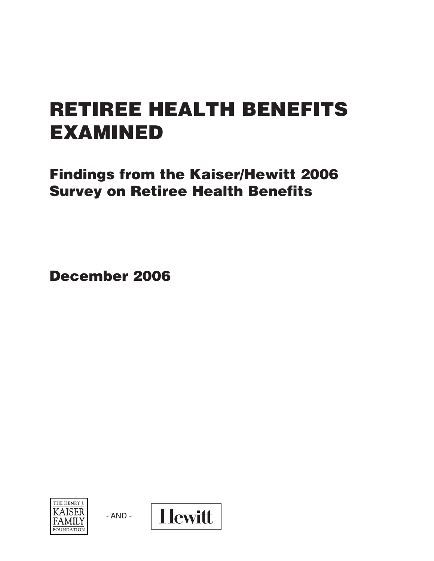# **RETIREE HEALTH BENEFITS EXAMINED**

**Findings from the Kaiser/Hewitt 2006 Survey on Retiree Health Benefits** 

**December 2006** 



 $- AND -$ 

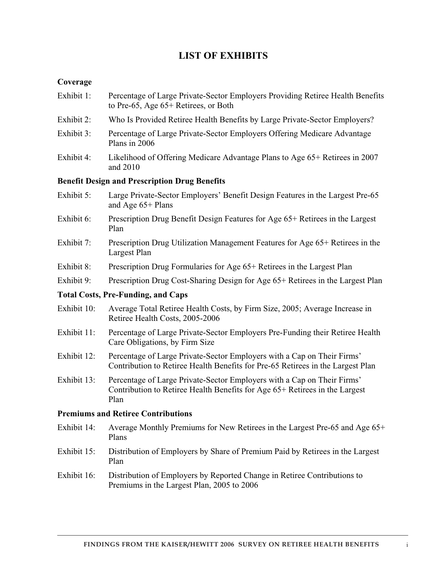## **LIST OF EXHIBITS**

### **Coverage**

- Exhibit 1: Percentage of Large Private-Sector Employers Providing Retiree Health Benefits to Pre-65, Age 65+ Retirees, or Both
- Exhibit 2: Who Is Provided Retiree Health Benefits by Large Private-Sector Employers?
- Exhibit 3: Percentage of Large Private-Sector Employers Offering Medicare Advantage Plans in 2006
- Exhibit 4: Likelihood of Offering Medicare Advantage Plans to Age 65+ Retirees in 2007 and 2010

#### **Benefit Design and Prescription Drug Benefits**

- Exhibit 5: Large Private-Sector Employers' Benefit Design Features in the Largest Pre-65 and Age 65+ Plans
- Exhibit 6: Prescription Drug Benefit Design Features for Age 65+ Retirees in the Largest Plan
- Exhibit 7: Prescription Drug Utilization Management Features for Age 65+ Retirees in the Largest Plan
- Exhibit 8: Prescription Drug Formularies for Age 65+ Retirees in the Largest Plan
- Exhibit 9: Prescription Drug Cost-Sharing Design for Age 65+ Retirees in the Largest Plan

#### **Total Costs, Pre-Funding, and Caps**

- Exhibit 10: Average Total Retiree Health Costs, by Firm Size, 2005; Average Increase in Retiree Health Costs, 2005-2006
- Exhibit 11: Percentage of Large Private-Sector Employers Pre-Funding their Retiree Health Care Obligations, by Firm Size
- Exhibit 12: Percentage of Large Private-Sector Employers with a Cap on Their Firms' Contribution to Retiree Health Benefits for Pre-65 Retirees in the Largest Plan
- Exhibit 13: Percentage of Large Private-Sector Employers with a Cap on Their Firms' Contribution to Retiree Health Benefits for Age 65+ Retirees in the Largest Plan

#### **Premiums and Retiree Contributions**

- Exhibit 14: Average Monthly Premiums for New Retirees in the Largest Pre-65 and Age 65+ Plans
- Exhibit 15: Distribution of Employers by Share of Premium Paid by Retirees in the Largest Plan
- Exhibit 16: Distribution of Employers by Reported Change in Retiree Contributions to Premiums in the Largest Plan, 2005 to 2006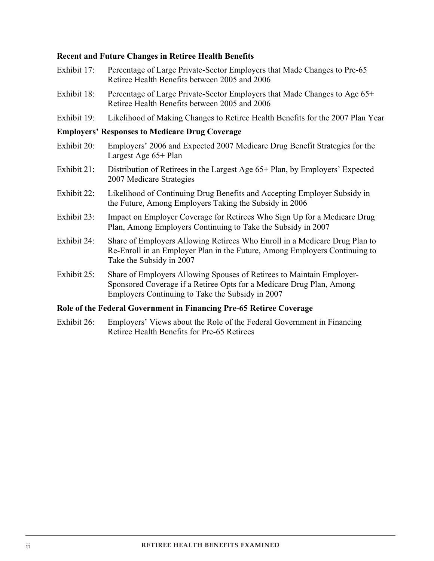#### **Recent and Future Changes in Retiree Health Benefits**

- Exhibit 17: Percentage of Large Private-Sector Employers that Made Changes to Pre-65 Retiree Health Benefits between 2005 and 2006
- Exhibit 18: Percentage of Large Private-Sector Employers that Made Changes to Age 65+ Retiree Health Benefits between 2005 and 2006
- Exhibit 19: Likelihood of Making Changes to Retiree Health Benefits for the 2007 Plan Year

#### **Employers' Responses to Medicare Drug Coverage**

- Exhibit 20: Employers' 2006 and Expected 2007 Medicare Drug Benefit Strategies for the Largest Age 65+ Plan
- Exhibit 21: Distribution of Retirees in the Largest Age 65+ Plan, by Employers' Expected 2007 Medicare Strategies
- Exhibit 22: Likelihood of Continuing Drug Benefits and Accepting Employer Subsidy in the Future, Among Employers Taking the Subsidy in 2006
- Exhibit 23: Impact on Employer Coverage for Retirees Who Sign Up for a Medicare Drug Plan, Among Employers Continuing to Take the Subsidy in 2007
- Exhibit 24: Share of Employers Allowing Retirees Who Enroll in a Medicare Drug Plan to Re-Enroll in an Employer Plan in the Future, Among Employers Continuing to Take the Subsidy in 2007
- Exhibit 25: Share of Employers Allowing Spouses of Retirees to Maintain Employer-Sponsored Coverage if a Retiree Opts for a Medicare Drug Plan, Among Employers Continuing to Take the Subsidy in 2007

#### **Role of the Federal Government in Financing Pre-65 Retiree Coverage**

Exhibit 26: Employers' Views about the Role of the Federal Government in Financing Retiree Health Benefits for Pre-65 Retirees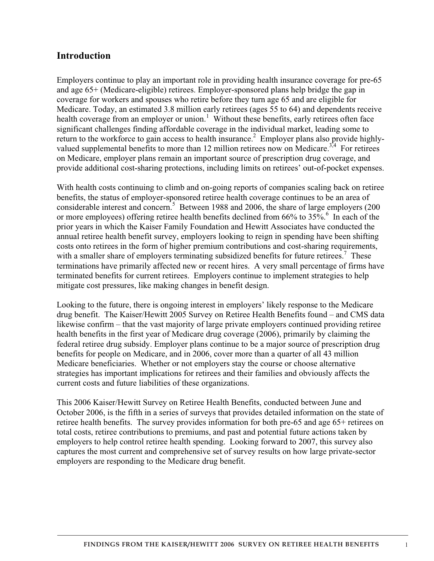## **Introduction**

Employers continue to play an important role in providing health insurance coverage for pre-65 and age 65+ (Medicare-eligible) retirees. Employer-sponsored plans help bridge the gap in coverage for workers and spouses who retire before they turn age 65 and are eligible for Medicare. Today, an estimated 3.8 million early retirees (ages 55 to 64) and dependents receive health coverage from an employer or union.<sup>1</sup> Without these benefits, early retirees often face significant challenges finding affordable coverage in the individual market, leading some to return to the workforce to gain access to health insurance.<sup>2</sup> Employer plans also provide highlyvalued supplemental benefits to more than 12 million retirees now on Medicare.<sup>3,4</sup> For retirees on Medicare, employer plans remain an important source of prescription drug coverage, and provide additional cost-sharing protections, including limits on retirees' out-of-pocket expenses.

With health costs continuing to climb and on-going reports of companies scaling back on retiree benefits, the status of employer-sponsored retiree health coverage continues to be an area of considerable interest and concern.<sup>5</sup> Between 1988 and 2006, the share of large employers (200 or more employees) offering retiree health benefits declined from  $66\%$  to  $35\%$ .<sup>6</sup> In each of the prior years in which the Kaiser Family Foundation and Hewitt Associates have conducted the annual retiree health benefit survey, employers looking to reign in spending have been shifting costs onto retirees in the form of higher premium contributions and cost-sharing requirements, with a smaller share of employers terminating subsidized benefits for future retirees.<sup>7</sup> These terminations have primarily affected new or recent hires. A very small percentage of firms have terminated benefits for current retirees. Employers continue to implement strategies to help mitigate cost pressures, like making changes in benefit design.

Looking to the future, there is ongoing interest in employers' likely response to the Medicare drug benefit. The Kaiser/Hewitt 2005 Survey on Retiree Health Benefits found – and CMS data likewise confirm – that the vast majority of large private employers continued providing retiree health benefits in the first year of Medicare drug coverage (2006), primarily by claiming the federal retiree drug subsidy. Employer plans continue to be a major source of prescription drug benefits for people on Medicare, and in 2006, cover more than a quarter of all 43 million Medicare beneficiaries. Whether or not employers stay the course or choose alternative strategies has important implications for retirees and their families and obviously affects the current costs and future liabilities of these organizations.

This 2006 Kaiser/Hewitt Survey on Retiree Health Benefits, conducted between June and October 2006, is the fifth in a series of surveys that provides detailed information on the state of retiree health benefits. The survey provides information for both pre-65 and age 65+ retirees on total costs, retiree contributions to premiums, and past and potential future actions taken by employers to help control retiree health spending. Looking forward to 2007, this survey also captures the most current and comprehensive set of survey results on how large private-sector employers are responding to the Medicare drug benefit.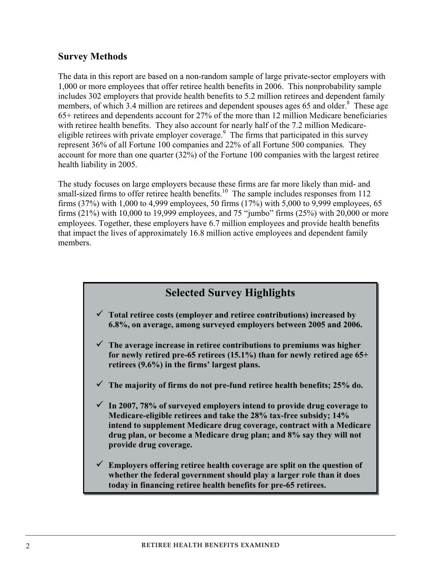## **Survey Methods**

The data in this report are based on a non-random sample of large private-sector employers with 1,000 or more employees that offer retiree health benefits in 2006. This nonprobability sample includes 302 employers that provide health benefits to 5.2 million retirees and dependent family members, of which 3.4 million are retirees and dependent spouses ages 65 and older.<sup>8</sup> These age 65+ retirees and dependents account for 27% of the more than 12 million Medicare beneficiaries with retiree health benefits. They also account for nearly half of the 7.2 million Medicareeligible retirees with private employer coverage.<sup>9</sup> The firms that participated in this survey represent 36% of all Fortune 100 companies and 22% of all Fortune 500 companies. They account for more than one quarter (32%) of the Fortune 100 companies with the largest retiree health liability in 2005.

The study focuses on large employers because these firms are far more likely than mid- and small-sized firms to offer retiree health benefits.<sup>10</sup> The sample includes responses from 112 firms (37%) with 1,000 to 4,999 employees, 50 firms (17%) with 5,000 to 9,999 employees, 65 firms (21%) with 10,000 to 19,999 employees, and 75 "jumbo" firms (25%) with 20,000 or more employees. Together, these employers have 6.7 million employees and provide health benefits that impact the lives of approximately 16.8 million active employees and dependent family members.



- � **Total retiree costs (employer and retiree contributions) increased by 6.8%, on average, among surveyed employers between 2005 and 2006.**
- � **The average increase in retiree contributions to premiums was higher for newly retired pre-65 retirees (15.1%) than for newly retired age 65+ retirees (9.6%) in the firms' largest plans.**
- � **The majority of firms do not pre-fund retiree health benefits; 25% do.**
- � **In 2007, 78% of surveyed employers intend to provide drug coverage to Medicare-eligible retirees and take the 28% tax-free subsidy; 14% intend to supplement Medicare drug coverage, contract with a Medicare drug plan, or become a Medicare drug plan; and 8% say they will not provide drug coverage.**
- � **Employers offering retiree health coverage are split on the question of whether the federal government should play a larger role than it does today in financing retiree health benefits for pre-65 retirees.**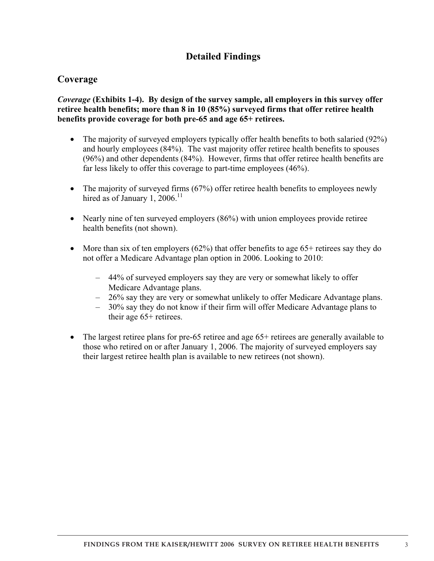## **Detailed Findings**

## **Coverage**

*Coverage* **(Exhibits 1-4). By design of the survey sample, all employers in this survey offer retiree health benefits; more than 8 in 10 (85%) surveyed firms that offer retiree health benefits provide coverage for both pre-65 and age 65+ retirees.** 

- $\bullet$  The majority of surveyed employers typically offer health benefits to both salaried (92%) and hourly employees (84%). The vast majority offer retiree health benefits to spouses (96%) and other dependents (84%). However, firms that offer retiree health benefits are far less likely to offer this coverage to part-time employees (46%).
- $\bullet$  The majority of surveyed firms (67%) offer retiree health benefits to employees newly hired as of January 1, 2006.<sup>11</sup>
- Nearly nine of ten surveyed employers (86%) with union employees provide retiree health benefits (not shown).
- $\bullet$  More than six of ten employers (62%) that offer benefits to age 65+ retirees say they do not offer a Medicare Advantage plan option in 2006. Looking to 2010:
	- 44% of surveyed employers say they are very or somewhat likely to offer Medicare Advantage plans.
	- 26% say they are very or somewhat unlikely to offer Medicare Advantage plans.
	- 30% say they do not know if their firm will offer Medicare Advantage plans to their age 65+ retirees.
- � The largest retiree plans for pre-65 retiree and age 65+ retirees are generally available to those who retired on or after January 1, 2006. The majority of surveyed employers say their largest retiree health plan is available to new retirees (not shown).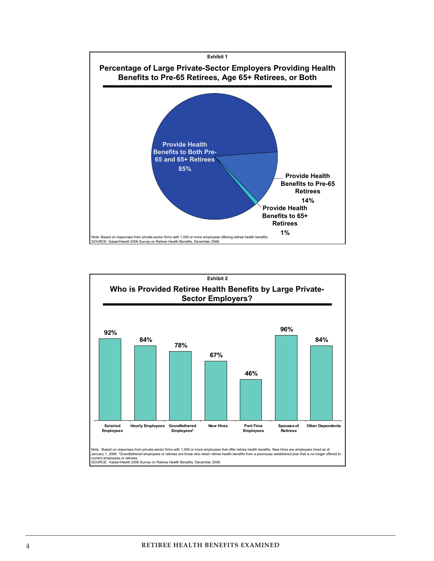

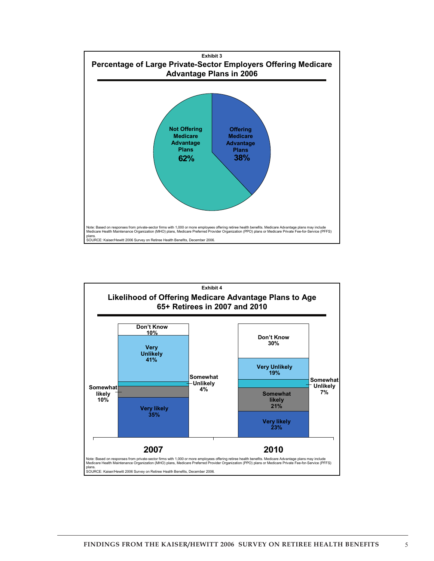

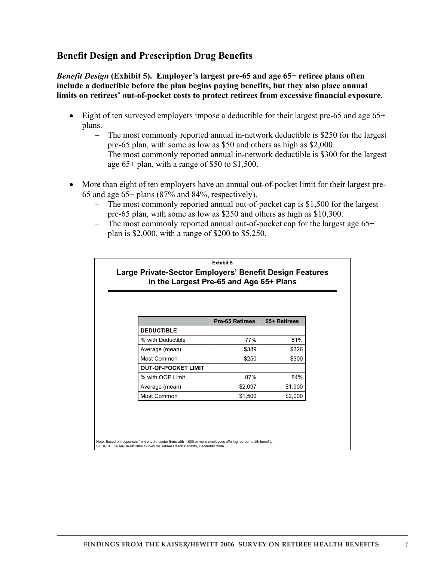## **Benefit Design and Prescription Drug Benefits**

*Benefit Design* **(Exhibit 5). Employer's largest pre-65 and age 65+ retiree plans often include a deductible before the plan begins paying benefits, but they also place annual limits on retirees' out-of-pocket costs to protect retirees from excessive financial exposure.** 

- Eight of ten surveyed employers impose a deductible for their largest pre-65 and age 65+ plans.
	- The most commonly reported annual in-network deductible is \$250 for the largest pre-65 plan, with some as low as \$50 and others as high as \$2,000.
	- The most commonly reported annual in-network deductible is \$300 for the largest age 65+ plan, with a range of \$50 to \$1,500.
- More than eight of ten employers have an annual out-of-pocket limit for their largest pre-65 and age 65+ plans (87% and 84%, respectively).
	- The most commonly reported annual out-of-pocket cap is \$1,500 for the largest pre-65 plan, with some as low as \$250 and others as high as \$10,300.
	- The most commonly reported annual out-of-pocket cap for the largest age 65+ plan is \$2,000, with a range of \$200 to \$5,250.

|                            | <b>Pre-65 Retirees</b> | 65+ Retirees |
|----------------------------|------------------------|--------------|
| <b>DEDUCTIBLE</b>          |                        |              |
| % with Deductible          | 77%                    | 81%          |
| Average (mean)             | \$389                  | \$326        |
| Most Common                | \$250                  | \$300        |
| <b>OUT-OF-POCKET LIMIT</b> |                        |              |
| % with OOP Limit           | 87%                    | 84%          |
| Average (mean)             | \$2,097                | \$1,900      |
| Most Common                | \$1,500                | \$2,000      |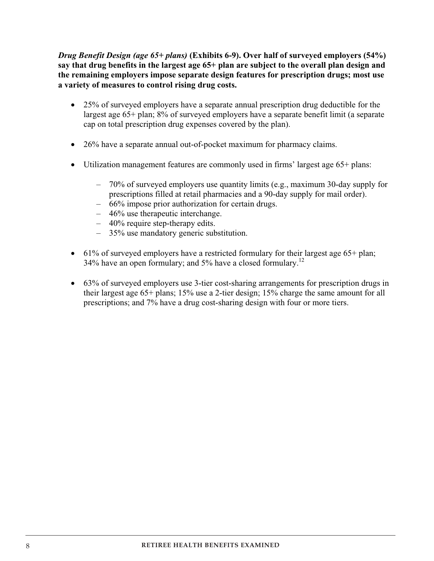*Drug Benefit Design (age 65+ plans)* **(Exhibits 6-9). Over half of surveyed employers (54%) say that drug benefits in the largest age 65+ plan are subject to the overall plan design and the remaining employers impose separate design features for prescription drugs; most use a variety of measures to control rising drug costs.**

- 25% of surveyed employers have a separate annual prescription drug deductible for the largest age 65+ plan; 8% of surveyed employers have a separate benefit limit (a separate cap on total prescription drug expenses covered by the plan).
- � 26% have a separate annual out-of-pocket maximum for pharmacy claims.
- � Utilization management features are commonly used in firms' largest age 65+ plans:
	- 70% of surveyed employers use quantity limits (e.g., maximum 30-day supply for prescriptions filled at retail pharmacies and a 90-day supply for mail order).
	- 66% impose prior authorization for certain drugs.
	- 46% use therapeutic interchange.
	- 40% require step-therapy edits.
	- 35% use mandatory generic substitution.
- 61% of surveyed employers have a restricted formulary for their largest age 65+ plan; 34% have an open formulary; and 5% have a closed formulary.<sup>12</sup>
- 63% of surveyed employers use 3-tier cost-sharing arrangements for prescription drugs in their largest age 65+ plans; 15% use a 2-tier design; 15% charge the same amount for all prescriptions; and 7% have a drug cost-sharing design with four or more tiers.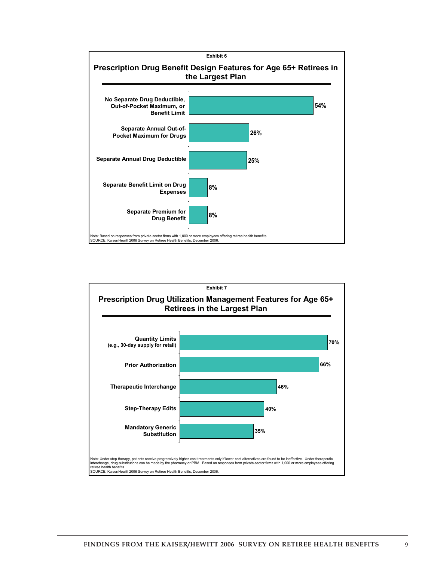

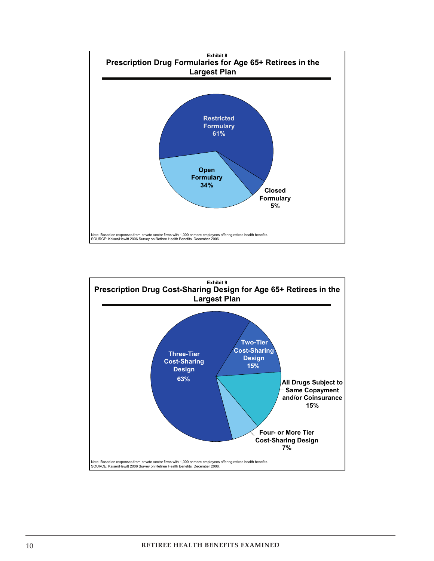

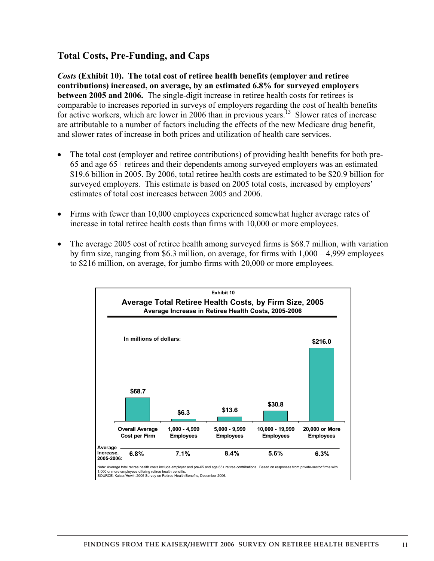## **Total Costs, Pre-Funding, and Caps**

*Costs* **(Exhibit 10). The total cost of retiree health benefits (employer and retiree contributions) increased, on average, by an estimated 6.8% for surveyed employers between 2005 and 2006.** The single-digit increase in retiree health costs for retirees is comparable to increases reported in surveys of employers regarding the cost of health benefits for active workers, which are lower in 2006 than in previous years.<sup>13</sup> Slower rates of increase are attributable to a number of factors including the effects of the new Medicare drug benefit, and slower rates of increase in both prices and utilization of health care services.

- � The total cost (employer and retiree contributions) of providing health benefits for both pre-65 and age 65+ retirees and their dependents among surveyed employers was an estimated \$19.6 billion in 2005. By 2006, total retiree health costs are estimated to be \$20.9 billion for surveyed employers. This estimate is based on 2005 total costs, increased by employers' estimates of total cost increases between 2005 and 2006.
- Firms with fewer than 10,000 employees experienced somewhat higher average rates of increase in total retiree health costs than firms with 10,000 or more employees.
- � The average 2005 cost of retiree health among surveyed firms is \$68.7 million, with variation by firm size, ranging from \$6.3 million, on average, for firms with 1,000 – 4,999 employees to \$216 million, on average, for jumbo firms with 20,000 or more employees.

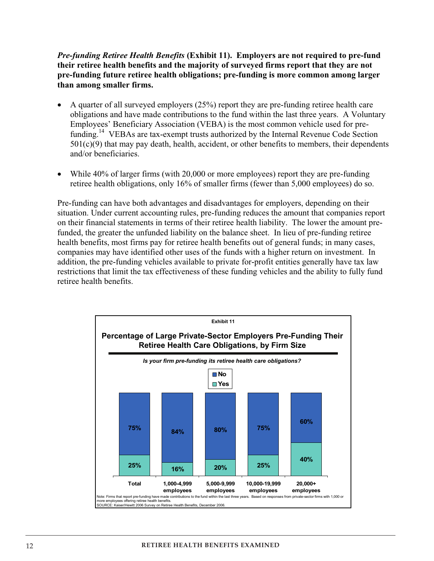## *Pre-funding Retiree Health Benefits* **(Exhibit 11). Employers are not required to pre-fund their retiree health benefits and the majority of surveyed firms report that they are not pre-funding future retiree health obligations; pre-funding is more common among larger than among smaller firms.**

- � A quarter of all surveyed employers (25%) report they are pre-funding retiree health care obligations and have made contributions to the fund within the last three years. A Voluntary Employees' Beneficiary Association (VEBA) is the most common vehicle used for prefunding.<sup>14</sup> VEBAs are tax-exempt trusts authorized by the Internal Revenue Code Section  $501(c)(9)$  that may pay death, health, accident, or other benefits to members, their dependents and/or beneficiaries.
- While 40% of larger firms (with 20,000 or more employees) report they are pre-funding retiree health obligations, only 16% of smaller firms (fewer than 5,000 employees) do so.

Pre-funding can have both advantages and disadvantages for employers, depending on their situation. Under current accounting rules, pre-funding reduces the amount that companies report on their financial statements in terms of their retiree health liability. The lower the amount prefunded, the greater the unfunded liability on the balance sheet. In lieu of pre-funding retiree health benefits, most firms pay for retiree health benefits out of general funds; in many cases, companies may have identified other uses of the funds with a higher return on investment. In addition, the pre-funding vehicles available to private for-profit entities generally have tax law restrictions that limit the tax effectiveness of these funding vehicles and the ability to fully fund retiree health benefits.

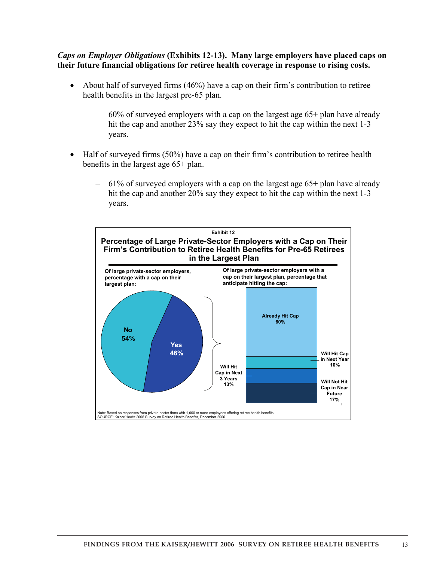#### *Caps on Employer Obligations* **(Exhibits 12-13). Many large employers have placed caps on their future financial obligations for retiree health coverage in response to rising costs.**

- About half of surveyed firms (46%) have a cap on their firm's contribution to retiree health benefits in the largest pre-65 plan.
	- 60% of surveyed employers with a cap on the largest age 65+ plan have already hit the cap and another 23% say they expect to hit the cap within the next 1-3 years.
- � Half of surveyed firms (50%) have a cap on their firm's contribution to retiree health benefits in the largest age 65+ plan.
	- 61% of surveyed employers with a cap on the largest age 65+ plan have already hit the cap and another 20% say they expect to hit the cap within the next 1-3 years.

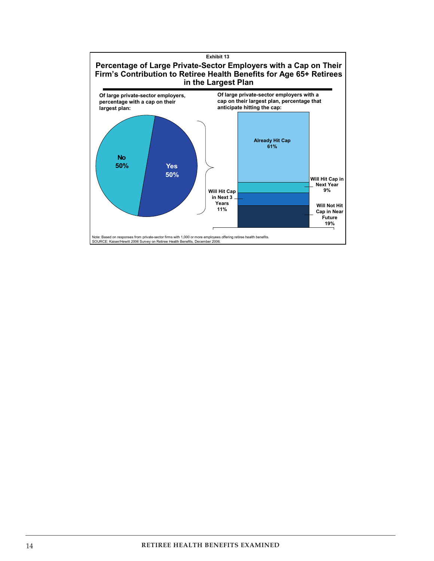

 $\overline{a}$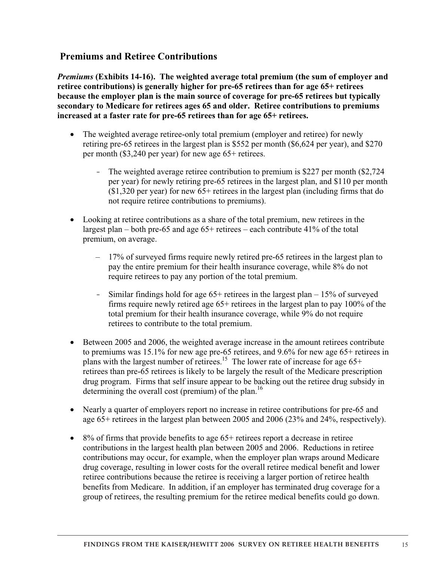## **Premiums and Retiree Contributions**

*Premiums* **(Exhibits 14-16). The weighted average total premium (the sum of employer and retiree contributions) is generally higher for pre-65 retirees than for age 65+ retirees because the employer plan is the main source of coverage for pre-65 retirees but typically secondary to Medicare for retirees ages 65 and older. Retiree contributions to premiums increased at a faster rate for pre-65 retirees than for age 65+ retirees.** 

- The weighted average retiree-only total premium (employer and retiree) for newly retiring pre-65 retirees in the largest plan is \$552 per month (\$6,624 per year), and \$270 per month (\$3,240 per year) for new age 65+ retirees.
	- The weighted average retiree contribution to premium is \$227 per month (\$2,724) per year) for newly retiring pre-65 retirees in the largest plan, and \$110 per month (\$1,320 per year) for new 65+ retirees in the largest plan (including firms that do not require retiree contributions to premiums).
- � Looking at retiree contributions as a share of the total premium, new retirees in the largest plan – both pre-65 and age 65+ retirees – each contribute 41% of the total premium, on average.
	- 17% of surveyed firms require newly retired pre-65 retirees in the largest plan to pay the entire premium for their health insurance coverage, while 8% do not require retirees to pay any portion of the total premium.
	- Similar findings hold for age  $65+$  retirees in the largest plan  $-15\%$  of surveyed firms require newly retired age 65+ retirees in the largest plan to pay 100% of the total premium for their health insurance coverage, while 9% do not require retirees to contribute to the total premium.
- Between 2005 and 2006, the weighted average increase in the amount retirees contribute to premiums was 15.1% for new age pre-65 retirees, and 9.6% for new age 65+ retirees in plans with the largest number of retirees.<sup>15</sup> The lower rate of increase for age  $65+$ retirees than pre-65 retirees is likely to be largely the result of the Medicare prescription drug program. Firms that self insure appear to be backing out the retiree drug subsidy in determining the overall cost (premium) of the plan.<sup>16</sup>
- � Nearly a quarter of employers report no increase in retiree contributions for pre-65 and age 65+ retirees in the largest plan between 2005 and 2006 (23% and 24%, respectively).
- $\bullet$  8% of firms that provide benefits to age 65+ retirees report a decrease in retiree contributions in the largest health plan between 2005 and 2006. Reductions in retiree contributions may occur, for example, when the employer plan wraps around Medicare drug coverage, resulting in lower costs for the overall retiree medical benefit and lower retiree contributions because the retiree is receiving a larger portion of retiree health benefits from Medicare. In addition, if an employer has terminated drug coverage for a group of retirees, the resulting premium for the retiree medical benefits could go down.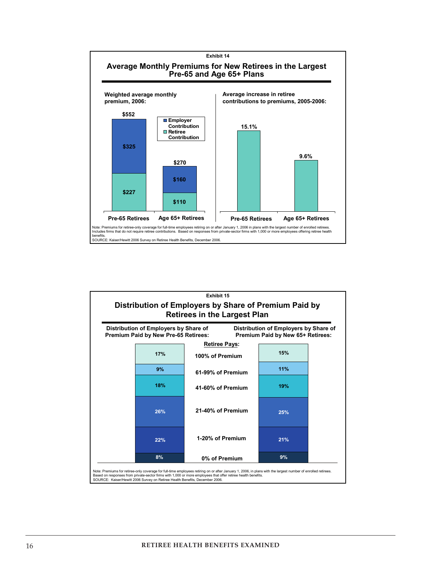

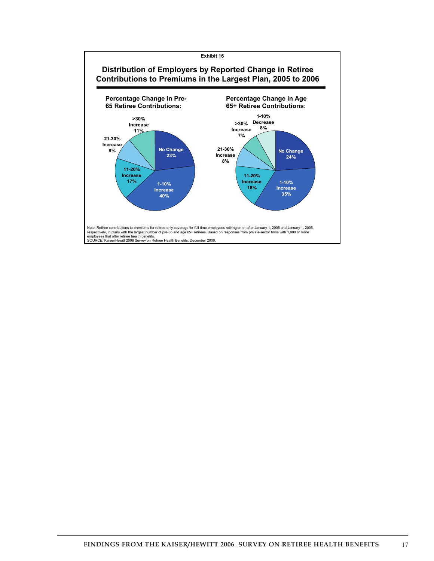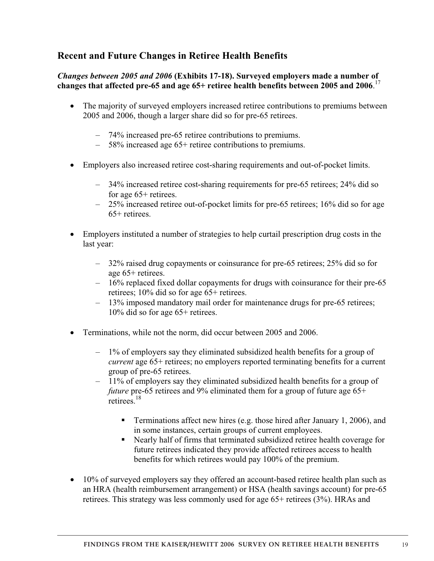# **Recent and Future Changes in Retiree Health Benefits**

## *Changes between 2005 and 2006* **(Exhibits 17-18). Surveyed employers made a number of changes that affected pre-65 and age 65+ retiree health benefits between 2005 and 2006**. 17

- � The majority of surveyed employers increased retiree contributions to premiums between 2005 and 2006, though a larger share did so for pre-65 retirees.
	- 74% increased pre-65 retiree contributions to premiums.
	- 58% increased age 65+ retiree contributions to premiums.
- � Employers also increased retiree cost-sharing requirements and out-of-pocket limits.
	- 34% increased retiree cost-sharing requirements for pre-65 retirees; 24% did so for age 65+ retirees.
	- 25% increased retiree out-of-pocket limits for pre-65 retirees; 16% did so for age 65+ retirees.
- � Employers instituted a number of strategies to help curtail prescription drug costs in the last year:
	- 32% raised drug copayments or coinsurance for pre-65 retirees; 25% did so for age 65+ retirees.
	- 16% replaced fixed dollar copayments for drugs with coinsurance for their pre-65 retirees; 10% did so for age 65+ retirees.
	- 13% imposed mandatory mail order for maintenance drugs for pre-65 retirees; 10% did so for age 65+ retirees.
- Terminations, while not the norm, did occur between 2005 and 2006.
	- 1% of employers say they eliminated subsidized health benefits for a group of *current* age 65+ retirees; no employers reported terminating benefits for a current group of pre-65 retirees.
	- 11% of employers say they eliminated subsidized health benefits for a group of *future* pre-65 retirees and 9% eliminated them for a group of future age 65+  $retirees$ <sup>18</sup>
		- **•** Terminations affect new hires (e.g. those hired after January 1, 2006), and in some instances, certain groups of current employees.
		- � Nearly half of firms that terminated subsidized retiree health coverage for future retirees indicated they provide affected retirees access to health benefits for which retirees would pay 100% of the premium.
- 10% of surveyed employers say they offered an account-based retiree health plan such as an HRA (health reimbursement arrangement) or HSA (health savings account) for pre-65 retirees. This strategy was less commonly used for age 65+ retirees (3%). HRAs and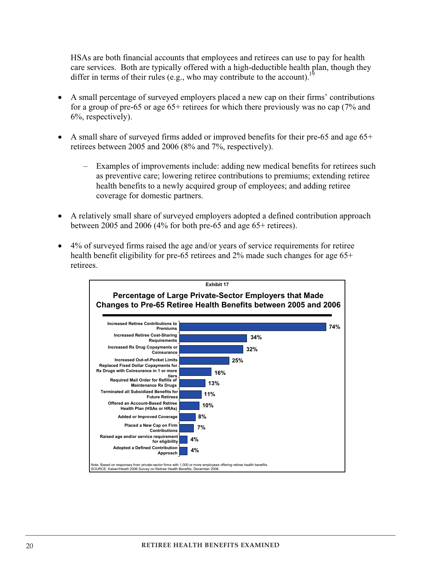HSAs are both financial accounts that employees and retirees can use to pay for health care services. Both are typically offered with a high-deductible health plan, though they differ in terms of their rules (e.g., who may contribute to the account).<sup>19</sup>

- � A small percentage of surveyed employers placed a new cap on their firms' contributions for a group of pre-65 or age 65+ retirees for which there previously was no cap (7% and 6%, respectively).
- � A small share of surveyed firms added or improved benefits for their pre-65 and age 65+ retirees between 2005 and 2006 (8% and 7%, respectively).
	- Examples of improvements include: adding new medical benefits for retirees such as preventive care; lowering retiree contributions to premiums; extending retiree health benefits to a newly acquired group of employees; and adding retiree coverage for domestic partners.
- � A relatively small share of surveyed employers adopted a defined contribution approach between 2005 and 2006 (4% for both pre-65 and age 65+ retirees).
- � 4% of surveyed firms raised the age and/or years of service requirements for retiree health benefit eligibility for pre-65 retirees and 2% made such changes for age 65+ retirees.

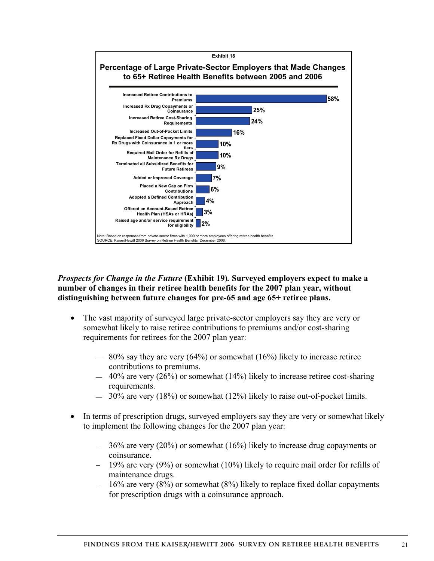

*Prospects for Change in the Future* **(Exhibit 19)***.* **Surveyed employers expect to make a number of changes in their retiree health benefits for the 2007 plan year, without distinguishing between future changes for pre-65 and age 65+ retiree plans.**

- � The vast majority of surveyed large private-sector employers say they are very or somewhat likely to raise retiree contributions to premiums and/or cost-sharing requirements for retirees for the 2007 plan year:
	- $80\%$  say they are very (64%) or somewhat (16%) likely to increase retiree contributions to premiums.
	- $-40\%$  are very (26%) or somewhat (14%) likely to increase retiree cost-sharing requirements.
	- � 30% are very (18%) or somewhat (12%) likely to raise out-of-pocket limits.
- In terms of prescription drugs, surveyed employers say they are very or somewhat likely to implement the following changes for the 2007 plan year:
	- 36% are very (20%) or somewhat (16%) likely to increase drug copayments or coinsurance.
	- $-$  19% are very (9%) or somewhat (10%) likely to require mail order for refills of maintenance drugs.
	- 16% are very (8%) or somewhat (8%) likely to replace fixed dollar copayments for prescription drugs with a coinsurance approach.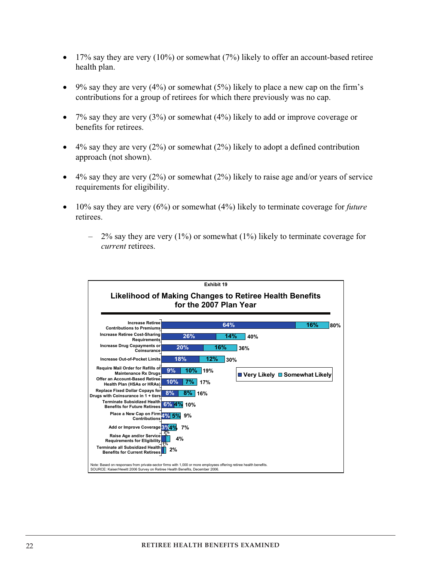- $\bullet$  17% say they are very (10%) or somewhat (7%) likely to offer an account-based retiree health plan.
- $\bullet$  9% say they are very (4%) or somewhat (5%) likely to place a new cap on the firm's contributions for a group of retirees for which there previously was no cap.
- $\bullet$  7% say they are very (3%) or somewhat (4%) likely to add or improve coverage or benefits for retirees.
- $\bullet$  4% say they are very (2%) or somewhat (2%) likely to adopt a defined contribution approach (not shown).
- $\bullet$  4% say they are very (2%) or somewhat (2%) likely to raise age and/or years of service requirements for eligibility.
- � 10% say they are very (6%) or somewhat (4%) likely to terminate coverage for *future* retirees.
	- $-$  2% say they are very (1%) or somewhat (1%) likely to terminate coverage for *current* retirees.

|                                                                                                                                                                                                   |                 | Exhibit 19 |     |                                 |  |     |     |
|---------------------------------------------------------------------------------------------------------------------------------------------------------------------------------------------------|-----------------|------------|-----|---------------------------------|--|-----|-----|
|                                                                                                                                                                                                   |                 |            |     |                                 |  |     |     |
| Likelihood of Making Changes to Retiree Health Benefits                                                                                                                                           |                 |            |     |                                 |  |     |     |
| for the 2007 Plan Year                                                                                                                                                                            |                 |            |     |                                 |  |     |     |
|                                                                                                                                                                                                   |                 |            |     |                                 |  |     |     |
| <b>Increase Retiree</b>                                                                                                                                                                           |                 |            | 64% |                                 |  |     |     |
| <b>Contributions to Premiums</b>                                                                                                                                                                  |                 |            |     |                                 |  | 16% | 80% |
| <b>Increase Retiree Cost-Sharing</b><br><b>Requirements</b>                                                                                                                                       | 26%             |            | 14% | 40%                             |  |     |     |
| <b>Increase Drug Copayments or</b><br>Coinsurance                                                                                                                                                 | 20%             | 16%        |     | 36%                             |  |     |     |
| <b>Increase Out-of-Pocket Limits</b>                                                                                                                                                              | 18%             | 12%        | 30% |                                 |  |     |     |
| Require Mail Order for Refills of<br><b>Maintenance Rx Drugs</b>                                                                                                                                  | 9%<br>$10\%$    | 19%        |     | ■ Very Likely ■ Somewhat Likely |  |     |     |
| Offer an Account-Based Retiree<br>Health Plan (HSAs or HRAs)                                                                                                                                      | 10%<br>7%       | 17%        |     |                                 |  |     |     |
| <b>Replace Fixed Dollar Copays for</b><br>Drugs with Coinsurance in 1 + tiers                                                                                                                     | 8%<br>$8\%$ 16% |            |     |                                 |  |     |     |
| <b>Terminate Subsidized Health</b><br><b>Benefits for Future Retirees</b>                                                                                                                         | 6%<br>10%       |            |     |                                 |  |     |     |
| Place a New Cap on Firm 4%<br><b>Contributions</b>                                                                                                                                                | 5%<br>9%        |            |     |                                 |  |     |     |
| Add or Improve Coverage 3%                                                                                                                                                                        | 7%              |            |     |                                 |  |     |     |
| Raise Age and/or Service<br><b>Requirements for Eligibility</b>                                                                                                                                   | 4%              |            |     |                                 |  |     |     |
| <b>Terminate all Subsidized Health</b><br><b>Benefits for Current Retirees</b>                                                                                                                    | 2%              |            |     |                                 |  |     |     |
| Note: Based on responses from private-sector firms with 1,000 or more employees offering retiree health benefits.<br>SOURCE: Kaiser/Hewitt 2006 Survey on Retiree Health Benefits, December 2006. |                 |            |     |                                 |  |     |     |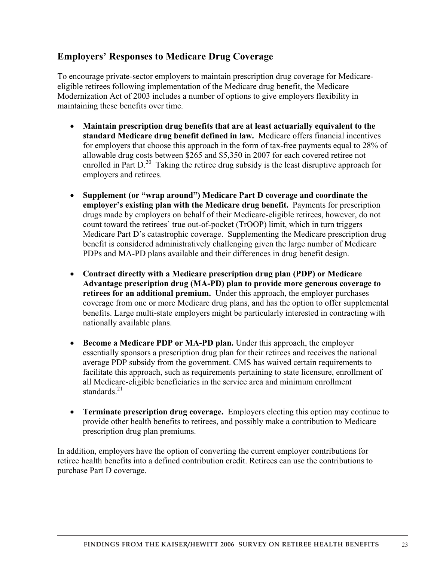## **Employers' Responses to Medicare Drug Coverage**

To encourage private-sector employers to maintain prescription drug coverage for Medicareeligible retirees following implementation of the Medicare drug benefit, the Medicare Modernization Act of 2003 includes a number of options to give employers flexibility in maintaining these benefits over time.

- � **Maintain prescription drug benefits that are at least actuarially equivalent to the standard Medicare drug benefit defined in law.** Medicare offers financial incentives for employers that choose this approach in the form of tax-free payments equal to 28% of allowable drug costs between \$265 and \$5,350 in 2007 for each covered retiree not enrolled in Part D.<sup>20</sup> Taking the retiree drug subsidy is the least disruptive approach for employers and retirees.
- � **Supplement (or "wrap around") Medicare Part D coverage and coordinate the employer's existing plan with the Medicare drug benefit.** Payments for prescription drugs made by employers on behalf of their Medicare-eligible retirees, however, do not count toward the retirees' true out-of-pocket (TrOOP) limit, which in turn triggers Medicare Part D's catastrophic coverage. Supplementing the Medicare prescription drug benefit is considered administratively challenging given the large number of Medicare PDPs and MA-PD plans available and their differences in drug benefit design.
- � **Contract directly with a Medicare prescription drug plan (PDP) or Medicare Advantage prescription drug (MA-PD) plan to provide more generous coverage to retirees for an additional premium.** Under this approach, the employer purchases coverage from one or more Medicare drug plans, and has the option to offer supplemental benefits. Large multi-state employers might be particularly interested in contracting with nationally available plans.
- � **Become a Medicare PDP or MA-PD plan.** Under this approach, the employer essentially sponsors a prescription drug plan for their retirees and receives the national average PDP subsidy from the government. CMS has waived certain requirements to facilitate this approach, such as requirements pertaining to state licensure, enrollment of all Medicare-eligible beneficiaries in the service area and minimum enrollment standards $^{21}$
- **Terminate prescription drug coverage.** Employers electing this option may continue to provide other health benefits to retirees, and possibly make a contribution to Medicare prescription drug plan premiums.

In addition, employers have the option of converting the current employer contributions for retiree health benefits into a defined contribution credit. Retirees can use the contributions to purchase Part D coverage.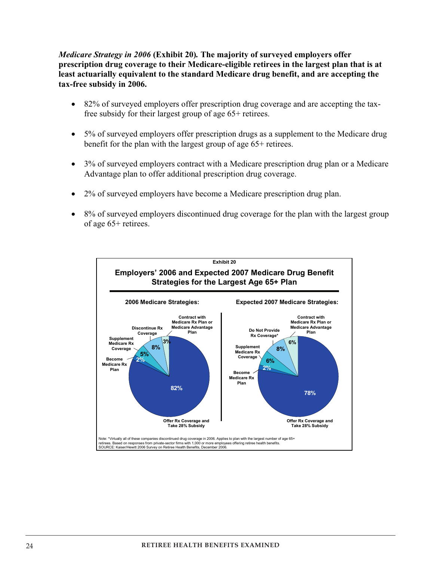*Medicare Strategy in 2006* **(Exhibit 20)***.* **The majority of surveyed employers offer prescription drug coverage to their Medicare-eligible retirees in the largest plan that is at least actuarially equivalent to the standard Medicare drug benefit, and are accepting the tax-free subsidy in 2006.** 

- 82% of surveyed employers offer prescription drug coverage and are accepting the taxfree subsidy for their largest group of age 65+ retirees.
- 5% of surveyed employers offer prescription drugs as a supplement to the Medicare drug benefit for the plan with the largest group of age 65+ retirees.
- � 3% of surveyed employers contract with a Medicare prescription drug plan or a Medicare Advantage plan to offer additional prescription drug coverage.
- 2% of surveyed employers have become a Medicare prescription drug plan.
- 8% of surveyed employers discontinued drug coverage for the plan with the largest group of age 65+ retirees.

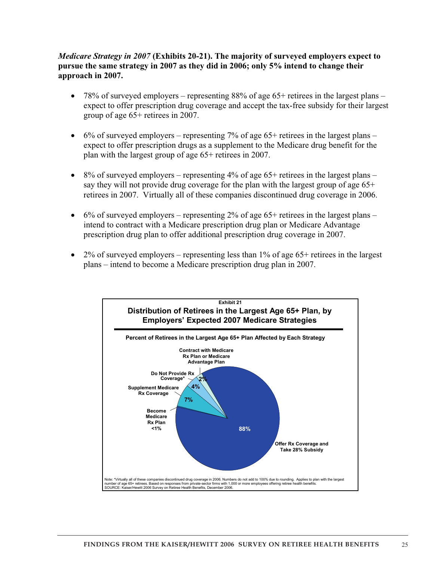## *Medicare Strategy in 2007* **(Exhibits 20-21). The majority of surveyed employers expect to pursue the same strategy in 2007 as they did in 2006; only 5% intend to change their approach in 2007.**

- $\bullet$  78% of surveyed employers representing 88% of age 65+ retirees in the largest plans expect to offer prescription drug coverage and accept the tax-free subsidy for their largest group of age 65+ retirees in 2007.
- $\bullet$  6% of surveyed employers representing 7% of age 65+ retirees in the largest plans expect to offer prescription drugs as a supplement to the Medicare drug benefit for the plan with the largest group of age 65+ retirees in 2007.
- $\bullet$  8% of surveyed employers representing 4% of age 65+ retirees in the largest plans say they will not provide drug coverage for the plan with the largest group of age  $65<sup>+</sup>$ retirees in 2007. Virtually all of these companies discontinued drug coverage in 2006.
- $\bullet$  6% of surveyed employers representing 2% of age 65+ retirees in the largest plans intend to contract with a Medicare prescription drug plan or Medicare Advantage prescription drug plan to offer additional prescription drug coverage in 2007.
- � 2% of surveyed employers representing less than 1% of age 65+ retirees in the largest plans – intend to become a Medicare prescription drug plan in 2007.

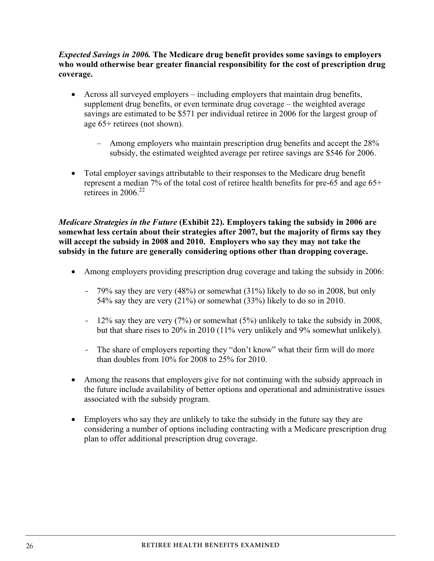## *Expected Savings in 2006.* **The Medicare drug benefit provides some savings to employers who would otherwise bear greater financial responsibility for the cost of prescription drug coverage.**

- � Across all surveyed employers including employers that maintain drug benefits, supplement drug benefits, or even terminate drug coverage – the weighted average savings are estimated to be \$571 per individual retiree in 2006 for the largest group of age 65+ retirees (not shown).
	- Among employers who maintain prescription drug benefits and accept the 28% subsidy, the estimated weighted average per retiree savings are \$546 for 2006.
- � Total employer savings attributable to their responses to the Medicare drug benefit represent a median 7% of the total cost of retiree health benefits for pre-65 and age 65+ retirees in  $2006^{22}$

*Medicare Strategies in the Future* **(Exhibit 22). Employers taking the subsidy in 2006 are somewhat less certain about their strategies after 2007, but the majority of firms say they will accept the subsidy in 2008 and 2010. Employers who say they may not take the subsidy in the future are generally considering options other than dropping coverage.** 

- Among employers providing prescription drug coverage and taking the subsidy in 2006:
	- 79% say they are very (48%) or somewhat (31%) likely to do so in 2008, but only 54% say they are very (21%) or somewhat (33%) likely to do so in 2010.
	- 12% say they are very (7%) or somewhat (5%) unlikely to take the subsidy in 2008, but that share rises to 20% in 2010 (11% very unlikely and 9% somewhat unlikely).
	- The share of employers reporting they "don't know" what their firm will do more than doubles from 10% for 2008 to 25% for 2010.
- Among the reasons that employers give for not continuing with the subsidy approach in the future include availability of better options and operational and administrative issues associated with the subsidy program.
- � Employers who say they are unlikely to take the subsidy in the future say they are considering a number of options including contracting with a Medicare prescription drug plan to offer additional prescription drug coverage.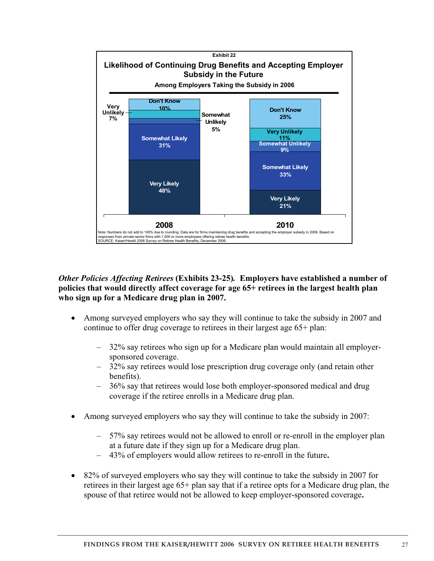

*Other Policies Affecting Retirees* **(Exhibits 23-25)***.* **Employers have established a number of policies that would directly affect coverage for age 65+ retirees in the largest health plan who sign up for a Medicare drug plan in 2007.**

- � Among surveyed employers who say they will continue to take the subsidy in 2007 and continue to offer drug coverage to retirees in their largest age 65+ plan:
	- 32% say retirees who sign up for a Medicare plan would maintain all employersponsored coverage.
	- 32% say retirees would lose prescription drug coverage only (and retain other benefits).
	- 36% say that retirees would lose both employer-sponsored medical and drug coverage if the retiree enrolls in a Medicare drug plan.
- Among surveyed employers who say they will continue to take the subsidy in 2007:
	- 57% say retirees would not be allowed to enroll or re-enroll in the employer plan at a future date if they sign up for a Medicare drug plan.
	- 43% of employers would allow retirees to re-enroll in the future**.**
- 82% of surveyed employers who say they will continue to take the subsidy in 2007 for retirees in their largest age 65+ plan say that if a retiree opts for a Medicare drug plan, the spouse of that retiree would not be allowed to keep employer-sponsored coverage**.**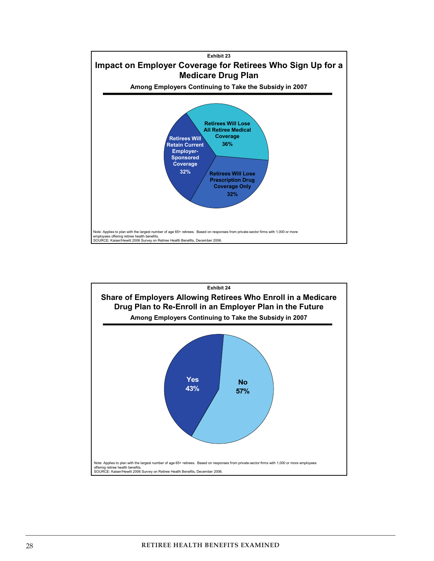

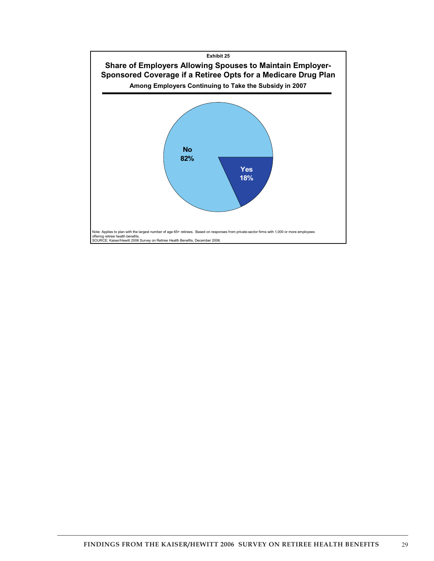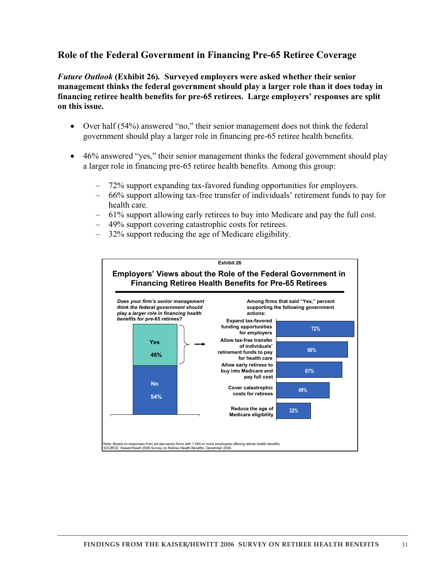## **Role of the Federal Government in Financing Pre-65 Retiree Coverage**

*Future Outlook* **(Exhibit 26)***.* **Surveyed employers were asked whether their senior management thinks the federal government should play a larger role than it does today in financing retiree health benefits for pre-65 retirees. Large employers' responses are split on this issue.** 

- Over half (54%) answered "no," their senior management does not think the federal government should play a larger role in financing pre-65 retiree health benefits.
- 46% answered "yes," their senior management thinks the federal government should play a larger role in financing pre-65 retiree health benefits. Among this group:
	- 72% support expanding tax-favored funding opportunities for employers.
	- 66% support allowing tax-free transfer of individuals' retirement funds to pay for health care.
	- 61% support allowing early retirees to buy into Medicare and pay the full cost.
	- 49% support covering catastrophic costs for retirees.
	- 32% support reducing the age of Medicare eligibility.

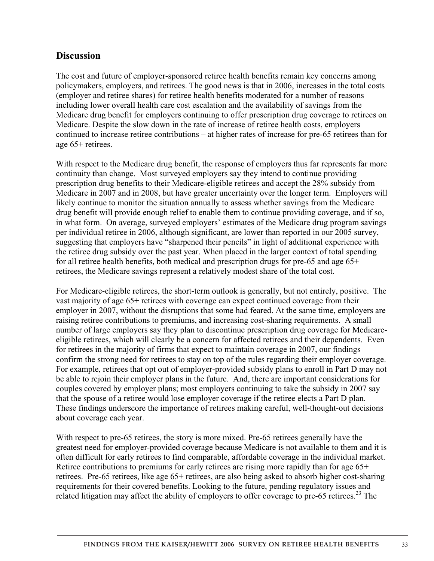## **Discussion**

The cost and future of employer-sponsored retiree health benefits remain key concerns among policymakers, employers, and retirees. The good news is that in 2006, increases in the total costs (employer and retiree shares) for retiree health benefits moderated for a number of reasons including lower overall health care cost escalation and the availability of savings from the Medicare drug benefit for employers continuing to offer prescription drug coverage to retirees on Medicare. Despite the slow down in the rate of increase of retiree health costs, employers continued to increase retiree contributions – at higher rates of increase for pre-65 retirees than for age 65+ retirees.

With respect to the Medicare drug benefit, the response of employers thus far represents far more continuity than change. Most surveyed employers say they intend to continue providing prescription drug benefits to their Medicare-eligible retirees and accept the 28% subsidy from Medicare in 2007 and in 2008, but have greater uncertainty over the longer term. Employers will likely continue to monitor the situation annually to assess whether savings from the Medicare drug benefit will provide enough relief to enable them to continue providing coverage, and if so, in what form. On average, surveyed employers' estimates of the Medicare drug program savings per individual retiree in 2006, although significant, are lower than reported in our 2005 survey, suggesting that employers have "sharpened their pencils" in light of additional experience with the retiree drug subsidy over the past year. When placed in the larger context of total spending for all retiree health benefits, both medical and prescription drugs for pre-65 and age 65+ retirees, the Medicare savings represent a relatively modest share of the total cost.

For Medicare-eligible retirees, the short-term outlook is generally, but not entirely, positive. The vast majority of age 65+ retirees with coverage can expect continued coverage from their employer in 2007, without the disruptions that some had feared. At the same time, employers are raising retiree contributions to premiums, and increasing cost-sharing requirements. A small number of large employers say they plan to discontinue prescription drug coverage for Medicareeligible retirees, which will clearly be a concern for affected retirees and their dependents. Even for retirees in the majority of firms that expect to maintain coverage in 2007, our findings confirm the strong need for retirees to stay on top of the rules regarding their employer coverage. For example, retirees that opt out of employer-provided subsidy plans to enroll in Part D may not be able to rejoin their employer plans in the future. And, there are important considerations for couples covered by employer plans; most employers continuing to take the subsidy in 2007 say that the spouse of a retiree would lose employer coverage if the retiree elects a Part D plan. These findings underscore the importance of retirees making careful, well-thought-out decisions about coverage each year.

With respect to pre-65 retirees, the story is more mixed. Pre-65 retirees generally have the greatest need for employer-provided coverage because Medicare is not available to them and it is often difficult for early retirees to find comparable, affordable coverage in the individual market. Retiree contributions to premiums for early retirees are rising more rapidly than for age 65+ retirees. Pre-65 retirees, like age 65+ retirees, are also being asked to absorb higher cost-sharing requirements for their covered benefits. Looking to the future, pending regulatory issues and related litigation may affect the ability of employers to offer coverage to pre-65 retirees.<sup>23</sup> The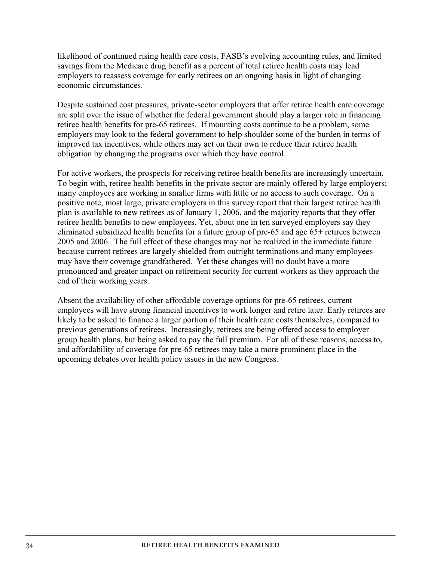likelihood of continued rising health care costs, FASB's evolving accounting rules, and limited savings from the Medicare drug benefit as a percent of total retiree health costs may lead employers to reassess coverage for early retirees on an ongoing basis in light of changing economic circumstances.

Despite sustained cost pressures, private-sector employers that offer retiree health care coverage are split over the issue of whether the federal government should play a larger role in financing retiree health benefits for pre-65 retirees. If mounting costs continue to be a problem, some employers may look to the federal government to help shoulder some of the burden in terms of improved tax incentives, while others may act on their own to reduce their retiree health obligation by changing the programs over which they have control.

For active workers, the prospects for receiving retiree health benefits are increasingly uncertain. To begin with, retiree health benefits in the private sector are mainly offered by large employers; many employees are working in smaller firms with little or no access to such coverage. On a positive note, most large, private employers in this survey report that their largest retiree health plan is available to new retirees as of January 1, 2006, and the majority reports that they offer retiree health benefits to new employees. Yet, about one in ten surveyed employers say they eliminated subsidized health benefits for a future group of pre-65 and age 65+ retirees between 2005 and 2006. The full effect of these changes may not be realized in the immediate future because current retirees are largely shielded from outright terminations and many employees may have their coverage grandfathered. Yet these changes will no doubt have a more pronounced and greater impact on retirement security for current workers as they approach the end of their working years.

Absent the availability of other affordable coverage options for pre-65 retirees, current employees will have strong financial incentives to work longer and retire later. Early retirees are likely to be asked to finance a larger portion of their health care costs themselves, compared to previous generations of retirees. Increasingly, retirees are being offered access to employer group health plans, but being asked to pay the full premium. For all of these reasons, access to, and affordability of coverage for pre-65 retirees may take a more prominent place in the upcoming debates over health policy issues in the new Congress.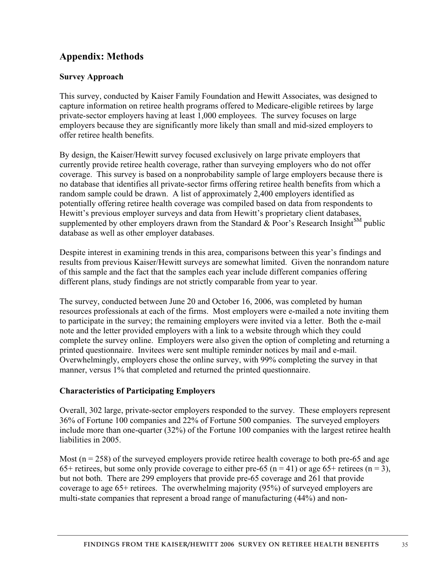## **Appendix: Methods**

## **Survey Approach**

This survey, conducted by Kaiser Family Foundation and Hewitt Associates, was designed to capture information on retiree health programs offered to Medicare-eligible retirees by large private-sector employers having at least 1,000 employees. The survey focuses on large employers because they are significantly more likely than small and mid-sized employers to offer retiree health benefits.

By design, the Kaiser/Hewitt survey focused exclusively on large private employers that currently provide retiree health coverage, rather than surveying employers who do not offer coverage. This survey is based on a nonprobability sample of large employers because there is no database that identifies all private-sector firms offering retiree health benefits from which a random sample could be drawn. A list of approximately 2,400 employers identified as potentially offering retiree health coverage was compiled based on data from respondents to Hewitt's previous employer surveys and data from Hewitt's proprietary client databases, supplemented by other employers drawn from the Standard  $\&$  Poor's Research Insight<sup>SM</sup> public database as well as other employer databases.

Despite interest in examining trends in this area, comparisons between this year's findings and results from previous Kaiser/Hewitt surveys are somewhat limited. Given the nonrandom nature of this sample and the fact that the samples each year include different companies offering different plans, study findings are not strictly comparable from year to year.

The survey, conducted between June 20 and October 16, 2006, was completed by human resources professionals at each of the firms. Most employers were e-mailed a note inviting them to participate in the survey; the remaining employers were invited via a letter. Both the e-mail note and the letter provided employers with a link to a website through which they could complete the survey online. Employers were also given the option of completing and returning a printed questionnaire. Invitees were sent multiple reminder notices by mail and e-mail. Overwhelmingly, employers chose the online survey, with 99% completing the survey in that manner, versus 1% that completed and returned the printed questionnaire.

## **Characteristics of Participating Employers**

Overall, 302 large, private-sector employers responded to the survey. These employers represent 36% of Fortune 100 companies and 22% of Fortune 500 companies. The surveyed employers include more than one-quarter (32%) of the Fortune 100 companies with the largest retiree health liabilities in 2005.

Most ( $n = 258$ ) of the surveyed employers provide retiree health coverage to both pre-65 and age 65+ retirees, but some only provide coverage to either pre-65 (n = 41) or age 65+ retirees (n = 3), but not both. There are 299 employers that provide pre-65 coverage and 261 that provide coverage to age 65+ retirees. The overwhelming majority (95%) of surveyed employers are multi-state companies that represent a broad range of manufacturing (44%) and non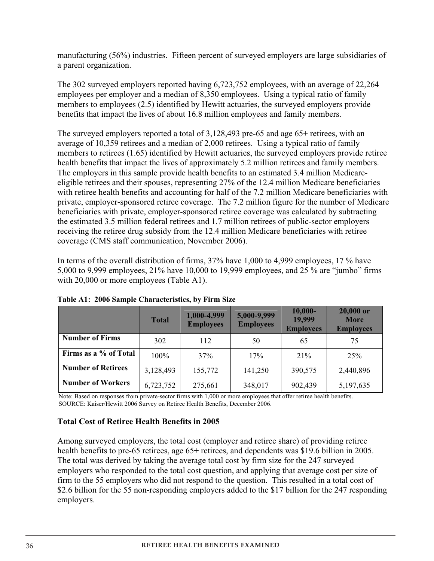manufacturing (56%) industries. Fifteen percent of surveyed employers are large subsidiaries of a parent organization.

The 302 surveyed employers reported having 6,723,752 employees, with an average of 22,264 employees per employer and a median of 8,350 employees. Using a typical ratio of family members to employees (2.5) identified by Hewitt actuaries, the surveyed employers provide benefits that impact the lives of about 16.8 million employees and family members.

The surveyed employers reported a total of 3,128,493 pre-65 and age 65+ retirees, with an average of 10,359 retirees and a median of 2,000 retirees. Using a typical ratio of family members to retirees (1.65) identified by Hewitt actuaries, the surveyed employers provide retiree health benefits that impact the lives of approximately 5.2 million retirees and family members. The employers in this sample provide health benefits to an estimated 3.4 million Medicareeligible retirees and their spouses, representing 27% of the 12.4 million Medicare beneficiaries with retiree health benefits and accounting for half of the 7.2 million Medicare beneficiaries with private, employer-sponsored retiree coverage. The 7.2 million figure for the number of Medicare beneficiaries with private, employer-sponsored retiree coverage was calculated by subtracting the estimated 3.5 million federal retirees and 1.7 million retirees of public-sector employers receiving the retiree drug subsidy from the 12.4 million Medicare beneficiaries with retiree coverage (CMS staff communication, November 2006).

In terms of the overall distribution of firms, 37% have 1,000 to 4,999 employees, 17 % have 5,000 to 9,999 employees, 21% have 10,000 to 19,999 employees, and 25 % are "jumbo" firms with 20,000 or more employees (Table A1).

|                           | <b>Total</b> | 1,000-4,999<br><b>Employees</b> | 5,000-9,999<br><b>Employees</b> | $10,000 -$<br>19,999<br><b>Employees</b> | 20,000 or<br><b>More</b><br><b>Employees</b> |
|---------------------------|--------------|---------------------------------|---------------------------------|------------------------------------------|----------------------------------------------|
| <b>Number of Firms</b>    | 302          | 112                             | 50                              | 65                                       | 75                                           |
| Firms as a % of Total     | 100%         | 37%                             | 17%                             | 21%                                      | 25%                                          |
| <b>Number of Retirees</b> | 3,128,493    | 155,772                         | 141,250                         | 390,575                                  | 2,440,896                                    |
| <b>Number of Workers</b>  | 6,723,752    | 275,661                         | 348,017                         | 902,439                                  | 5,197,635                                    |

**Table A1: 2006 Sample Characteristics, by Firm Size** 

Note: Based on responses from private-sector firms with 1,000 or more employees that offer retiree health benefits. SOURCE: Kaiser/Hewitt 2006 Survey on Retiree Health Benefits, December 2006.

## **Total Cost of Retiree Health Benefits in 2005**

Among surveyed employers, the total cost (employer and retiree share) of providing retiree health benefits to pre-65 retirees, age  $65+$  retirees, and dependents was \$19.6 billion in 2005. The total was derived by taking the average total cost by firm size for the 247 surveyed employers who responded to the total cost question, and applying that average cost per size of firm to the 55 employers who did not respond to the question. This resulted in a total cost of \$2.6 billion for the 55 non-responding employers added to the \$17 billion for the 247 responding employers.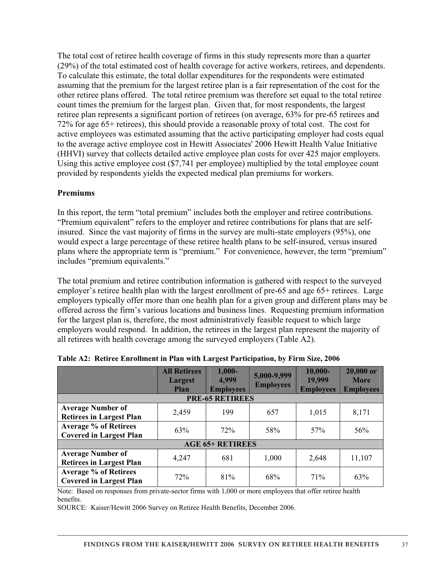The total cost of retiree health coverage of firms in this study represents more than a quarter (29%) of the total estimated cost of health coverage for active workers, retirees, and dependents. To calculate this estimate, the total dollar expenditures for the respondents were estimated assuming that the premium for the largest retiree plan is a fair representation of the cost for the other retiree plans offered. The total retiree premium was therefore set equal to the total retiree count times the premium for the largest plan. Given that, for most respondents, the largest retiree plan represents a significant portion of retirees (on average, 63% for pre-65 retirees and 72% for age 65+ retirees), this should provide a reasonable proxy of total cost. The cost for active employees was estimated assuming that the active participating employer had costs equal to the average active employee cost in Hewitt Associates' 2006 Hewitt Health Value Initiative (HHVI) survey that collects detailed active employee plan costs for over 425 major employers. Using this active employee cost (\$7,741 per employee) multiplied by the total employee count provided by respondents yields the expected medical plan premiums for workers.

## **Premiums**

In this report, the term "total premium" includes both the employer and retiree contributions. "Premium equivalent" refers to the employer and retiree contributions for plans that are selfinsured. Since the vast majority of firms in the survey are multi-state employers (95%), one would expect a large percentage of these retiree health plans to be self-insured, versus insured plans where the appropriate term is "premium." For convenience, however, the term "premium" includes "premium equivalents."

The total premium and retiree contribution information is gathered with respect to the surveyed employer's retiree health plan with the largest enrollment of pre-65 and age 65+ retirees. Large employers typically offer more than one health plan for a given group and different plans may be offered across the firm's various locations and business lines. Requesting premium information for the largest plan is, therefore, the most administratively feasible request to which large employers would respond. In addition, the retirees in the largest plan represent the majority of all retirees with health coverage among the surveyed employers (Table A2).

|                                                                | <b>All Retirees</b><br>Largest<br><b>Plan</b> | $1,000-$<br>4,999<br><b>Employees</b> | 5,000-9,999<br><b>Employees</b> | $10,000 -$<br>19,999<br><b>Employees</b> | 20,000 or<br><b>More</b><br><b>Employees</b> |  |  |
|----------------------------------------------------------------|-----------------------------------------------|---------------------------------------|---------------------------------|------------------------------------------|----------------------------------------------|--|--|
|                                                                |                                               | <b>PRE-65 RETIREES</b>                |                                 |                                          |                                              |  |  |
| <b>Average Number of</b><br><b>Retirees in Largest Plan</b>    | 2,459                                         | 199                                   | 657                             | 1,015                                    | 8,171                                        |  |  |
| <b>Average % of Retirees</b><br><b>Covered in Largest Plan</b> | 63%                                           | 72%                                   | 58%                             | 57%                                      | 56%                                          |  |  |
| <b>AGE 65+ RETIREES</b>                                        |                                               |                                       |                                 |                                          |                                              |  |  |
| <b>Average Number of</b><br><b>Retirees in Largest Plan</b>    | 4,247                                         | 681                                   | 1,000                           | 2,648                                    | 11,107                                       |  |  |
| <b>Average % of Retirees</b><br><b>Covered in Largest Plan</b> | 72%                                           | 81%                                   | 68%                             | 71%                                      | 63%                                          |  |  |

|  |  |  | Table A2: Retiree Enrollment in Plan with Largest Participation, by Firm Size, 2006 |  |
|--|--|--|-------------------------------------------------------------------------------------|--|
|  |  |  |                                                                                     |  |

Note: Based on responses from private-sector firms with 1,000 or more employees that offer retiree health benefits.

SOURCE: Kaiser/Hewitt 2006 Survey on Retiree Health Benefits, December 2006.

37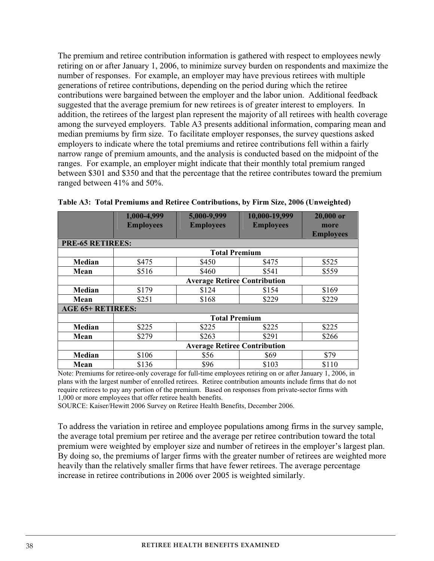The premium and retiree contribution information is gathered with respect to employees newly retiring on or after January 1, 2006, to minimize survey burden on respondents and maximize the number of responses. For example, an employer may have previous retirees with multiple generations of retiree contributions, depending on the period during which the retiree contributions were bargained between the employer and the labor union. Additional feedback suggested that the average premium for new retirees is of greater interest to employers. In addition, the retirees of the largest plan represent the majority of all retirees with health coverage among the surveyed employers. Table A3 presents additional information, comparing mean and median premiums by firm size. To facilitate employer responses, the survey questions asked employers to indicate where the total premiums and retiree contributions fell within a fairly narrow range of premium amounts, and the analysis is conducted based on the midpoint of the ranges. For example, an employer might indicate that their monthly total premium ranged between \$301 and \$350 and that the percentage that the retiree contributes toward the premium ranged between 41% and 50%.

|                          | 1,000-4,999<br><b>Employees</b>     | 5,000-9,999<br><b>Employees</b> | 10,000-19,999<br><b>Employees</b> | 20,000 or<br>more<br><b>Employees</b> |  |  |  |
|--------------------------|-------------------------------------|---------------------------------|-----------------------------------|---------------------------------------|--|--|--|
| <b>PRE-65 RETIREES:</b>  |                                     |                                 |                                   |                                       |  |  |  |
|                          |                                     | <b>Total Premium</b>            |                                   |                                       |  |  |  |
| Median                   | \$475                               | \$450                           | \$475                             | \$525                                 |  |  |  |
| Mean                     | \$516                               | \$460                           | \$541                             | \$559                                 |  |  |  |
|                          | <b>Average Retiree Contribution</b> |                                 |                                   |                                       |  |  |  |
| Median                   | \$179                               | \$124                           | \$154                             | \$169                                 |  |  |  |
| Mean                     | \$251                               | \$168                           | \$229                             | \$229                                 |  |  |  |
| <b>AGE 65+ RETIREES:</b> |                                     |                                 |                                   |                                       |  |  |  |
|                          | <b>Total Premium</b>                |                                 |                                   |                                       |  |  |  |
| Median                   | \$225                               | \$225                           | \$225                             | \$225                                 |  |  |  |
| Mean                     | \$279                               | \$263                           | \$291                             | \$266                                 |  |  |  |
|                          | <b>Average Retiree Contribution</b> |                                 |                                   |                                       |  |  |  |
| Median                   | \$106                               | \$56                            | \$69                              | \$79                                  |  |  |  |
| Mean                     | \$136                               | \$96                            | \$103                             | \$110                                 |  |  |  |

|  |  | Table A3: Total Premiums and Retiree Contributions, by Firm Size, 2006 (Unweighted) |
|--|--|-------------------------------------------------------------------------------------|
|  |  |                                                                                     |

Note: Premiums for retiree-only coverage for full-time employees retiring on or after January 1, 2006, in plans with the largest number of enrolled retirees. Retiree contribution amounts include firms that do not require retirees to pay any portion of the premium. Based on responses from private-sector firms with 1,000 or more employees that offer retiree health benefits.

SOURCE: Kaiser/Hewitt 2006 Survey on Retiree Health Benefits, December 2006.

To address the variation in retiree and employee populations among firms in the survey sample, the average total premium per retiree and the average per retiree contribution toward the total premium were weighted by employer size and number of retirees in the employer's largest plan. By doing so, the premiums of larger firms with the greater number of retirees are weighted more heavily than the relatively smaller firms that have fewer retirees. The average percentage increase in retiree contributions in 2006 over 2005 is weighted similarly.

38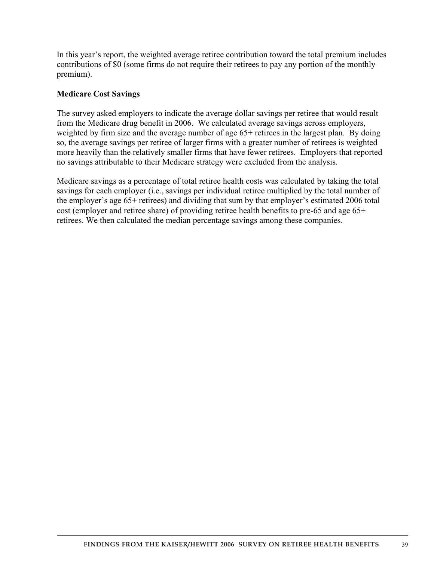In this year's report, the weighted average retiree contribution toward the total premium includes contributions of \$0 (some firms do not require their retirees to pay any portion of the monthly premium).

### **Medicare Cost Savings**

The survey asked employers to indicate the average dollar savings per retiree that would result from the Medicare drug benefit in 2006. We calculated average savings across employers, weighted by firm size and the average number of age 65+ retirees in the largest plan. By doing so, the average savings per retiree of larger firms with a greater number of retirees is weighted more heavily than the relatively smaller firms that have fewer retirees. Employers that reported no savings attributable to their Medicare strategy were excluded from the analysis.

Medicare savings as a percentage of total retiree health costs was calculated by taking the total savings for each employer (i.e., savings per individual retiree multiplied by the total number of the employer's age 65+ retirees) and dividing that sum by that employer's estimated 2006 total cost (employer and retiree share) of providing retiree health benefits to pre-65 and age 65+ retirees. We then calculated the median percentage savings among these companies.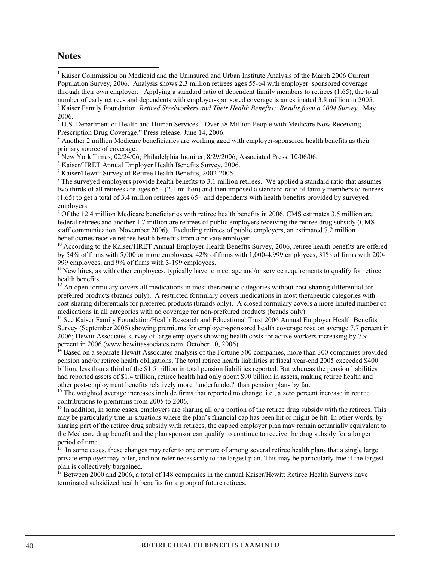### **Notes**

<sup>1</sup> Kaiser Commission on Medicaid and the Uninsured and Urban Institute Analysis of the March 2006 Current Population Survey, 2006. Analysis shows 2.3 million retirees ages 55-64 with employer–sponsored coverage through their own employer. Applying a standard ratio of dependent family members to retirees (1.65), the total number of early retirees and dependents with employer-sponsored coverage is an estimated 3.8 million in 2005. 2 Kaiser Family Foundation. *Retired Steelworkers and Their Health Benefits: Results from a 2004 Survey*. May 2006.

<sup>3</sup> U.S. Department of Health and Human Services. "Over 38 Million People with Medicare Now Receiving Prescription Drug Coverage." Press release. June 14, 2006.

<sup>4</sup> Another 2 million Medicare beneficiaries are working aged with employer-sponsored health benefits as their primary source of coverage.

5 New York Times, 02/24/06; Philadelphia Inquirer, 8/29/2006; Associated Press, 10/06/06.

 $^6$  Kaiser/HRET Annual Employer Health Benefits Survey, 2006.

<sup>7</sup> Kaiser/Hewitt Survey of Retiree Health Benefits, 2002-2005.

<sup>8</sup> The surveyed employers provide health benefits to 3.1 million retirees. We applied a standard ratio that assumes two thirds of all retirees are ages 65+ (2.1 million) and then imposed a standard ratio of family members to retirees (1.65) to get a total of 3.4 million retirees ages 65+ and dependents with health benefits provided by surveyed employers.

<sup>9</sup> Of the 12.4 million Medicare beneficiaries with retiree health benefits in 2006, CMS estimates 3.5 million are federal retirees and another 1.7 million are retirees of public employers receiving the retiree drug subsidy (CMS staff communication, November 2006). Excluding retirees of public employers, an estimated 7.2 million beneficiaries receive retiree health benefits from a private employer.

<sup>10</sup> According to the Kaiser/HRET Annual Employer Health Benefits Survey, 2006, retiree health benefits are offered by 54% of firms with 5,000 or more employees, 42% of firms with 1,000-4,999 employees, 31% of firms with 200- 999 employees, and 9% of firms with 3-199 employees.

<sup>11</sup> New hires, as with other employees, typically have to meet age and/or service requirements to qualify for retiree health benefits.

 $12$  An open formulary covers all medications in most therapeutic categories without cost-sharing differential for preferred products (brands only). A restricted formulary covers medications in most therapeutic categories with cost-sharing differentials for preferred products (brands only). A closed formulary covers a more limited number of medications in all categories with no coverage for non-preferred products (brands only).

<sup>13</sup> See Kaiser Family Foundation/Health Research and Educational Trust 2006 Annual Employer Health Benefits Survey (September 2006) showing premiums for employer-sponsored health coverage rose on average 7.7 percent in 2006; Hewitt Associates survey of large employers showing health costs for active workers increasing by 7.9 percent in 2006 (www.hewittassociates.com, October 10, 2006).

 $14$  Based on a separate Hewitt Associates analysis of the Fortune 500 companies, more than 300 companies provided pension and/or retiree health obligations. The total retiree health liabilities at fiscal year-end 2005 exceeded \$400 billion, less than a third of the \$1.5 trillion in total pension liabilities reported. But whereas the pension liabilities had reported assets of \$1.4 trillion, retiree health had only about \$90 billion in assets, making retiree health and other post-employment benefits relatively more "underfunded" than pension plans by far.

<sup>15</sup> The weighted average increases include firms that reported no change, i.e., a zero percent increase in retiree contributions to premiums from 2005 to 2006.

 $<sup>16</sup>$  In addition, in some cases, employers are sharing all or a portion of the retiree drug subsidy with the retirees. This</sup> may be particularly true in situations where the plan's financial cap has been hit or might be hit. In other words, by sharing part of the retiree drug subsidy with retirees, the capped employer plan may remain actuarially equivalent to the Medicare drug benefit and the plan sponsor can qualify to continue to receive the drug subsidy for a longer period of time.

17 In some cases, these changes may refer to one or more of among several retiree health plans that a single large private employer may offer, and not refer necessarily to the largest plan. This may be particularly true if the largest plan is collectively bargained.

 $18$  Between 2000 and 2006, a total of 148 companies in the annual Kaiser/Hewitt Retiree Health Surveys have terminated subsidized health benefits for a group of future retirees.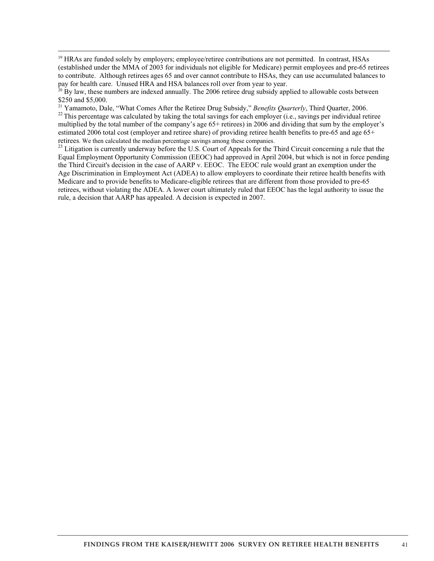$^{22}$  This percentage was calculated by taking the total savings for each employer (i.e., savings per individual retiree multiplied by the total number of the company's age 65+ retirees) in 2006 and dividing that sum by the employer's estimated 2006 total cost (employer and retiree share) of providing retiree health benefits to pre-65 and age 65+ retirees. We then calculated the median percentage savings among these companies.

 $^{23}$  Litigation is currently underway before the U.S. Court of Appeals for the Third Circuit concerning a rule that the Equal Employment Opportunity Commission (EEOC) had approved in April 2004, but which is not in force pending the Third Circuit's decision in the case of AARP v. EEOC. The EEOC rule would grant an exemption under the Age Discrimination in Employment Act (ADEA) to allow employers to coordinate their retiree health benefits with Medicare and to provide benefits to Medicare-eligible retirees that are different from those provided to pre-65 retirees, without violating the ADEA. A lower court ultimately ruled that EEOC has the legal authority to issue the rule, a decision that AARP has appealed. A decision is expected in 2007.

 $\overline{a}$ 

<sup>&</sup>lt;sup>19</sup> HRAs are funded solely by employers; employee/retiree contributions are not permitted. In contrast, HSAs (established under the MMA of 2003 for individuals not eligible for Medicare) permit employees and pre-65 retirees to contribute. Although retirees ages 65 and over cannot contribute to HSAs, they can use accumulated balances to pay for health care. Unused HRA and HSA balances roll over from year to year.<br><sup>20</sup> By law, these numbers are indexed annually. The 2006 retiree drug subsidy applied to allowable costs between

<sup>\$250</sup> and \$5,000.<br><sup>21</sup> Yamamoto, Dale, "What Comes After the Retiree Drug Subsidy," *Benefits Quarterly*, Third Quarter, 2006.